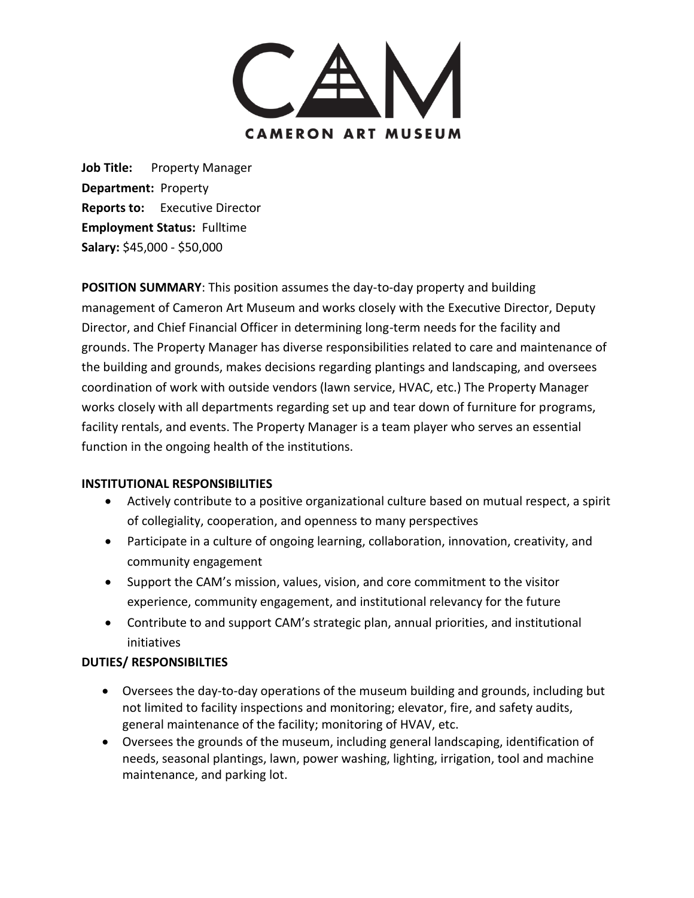

Job Title: Property Manager **Department:** Property **Reports to:** Executive Director **Employment Status:** Fulltime **Salary:** \$45,000 - \$50,000

**POSITION SUMMARY**: This position assumes the day-to-day property and building management of Cameron Art Museum and works closely with the Executive Director, Deputy Director, and Chief Financial Officer in determining long-term needs for the facility and grounds. The Property Manager has diverse responsibilities related to care and maintenance of the building and grounds, makes decisions regarding plantings and landscaping, and oversees coordination of work with outside vendors (lawn service, HVAC, etc.) The Property Manager works closely with all departments regarding set up and tear down of furniture for programs, facility rentals, and events. The Property Manager is a team player who serves an essential function in the ongoing health of the institutions.

#### **INSTITUTIONAL RESPONSIBILITIES**

- Actively contribute to a positive organizational culture based on mutual respect, a spirit of collegiality, cooperation, and openness to many perspectives
- Participate in a culture of ongoing learning, collaboration, innovation, creativity, and community engagement
- Support the CAM's mission, values, vision, and core commitment to the visitor experience, community engagement, and institutional relevancy for the future
- Contribute to and support CAM's strategic plan, annual priorities, and institutional initiatives

# **DUTIES/ RESPONSIBILTIES**

- Oversees the day-to-day operations of the museum building and grounds, including but not limited to facility inspections and monitoring; elevator, fire, and safety audits, general maintenance of the facility; monitoring of HVAV, etc.
- Oversees the grounds of the museum, including general landscaping, identification of needs, seasonal plantings, lawn, power washing, lighting, irrigation, tool and machine maintenance, and parking lot.